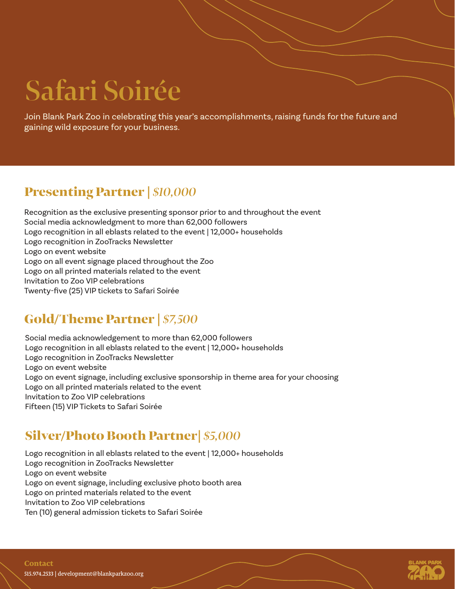# **Safari Soirée**

Join Blank Park Zoo in celebrating this year's accomplishments, raising funds for the future and gaining wild exposure for your business.

### Presenting Partner | *\$10,000*

Recognition as the exclusive presenting sponsor prior to and throughout the event Social media acknowledgment to more than 62,000 followers Logo recognition in all eblasts related to the event | 12,000+ households Logo recognition in ZooTracks Newsletter Logo on event website Logo on all event signage placed throughout the Zoo Logo on all printed materials related to the event Invitation to Zoo VIP celebrations Twenty-five (25) VIP tickets to Safari Soirée

#### Gold/Theme Partner | *\$7,500*

Social media acknowledgement to more than 62,000 followers Logo recognition in all eblasts related to the event | 12,000+ households Logo recognition in ZooTracks Newsletter Logo on event website Logo on event signage, including exclusive sponsorship in theme area for your choosing Logo on all printed materials related to the event Invitation to Zoo VIP celebrations Fifteen (15) VIP Tickets to Safari Soirée

## Silver/Photo Booth Partner| *\$5,000*

Logo recognition in all eblasts related to the event | 12,000+ households Logo recognition in ZooTracks Newsletter Logo on event website Logo on event signage, including exclusive photo booth area Logo on printed materials related to the event Invitation to Zoo VIP celebrations Ten (10) general admission tickets to Safari Soirée